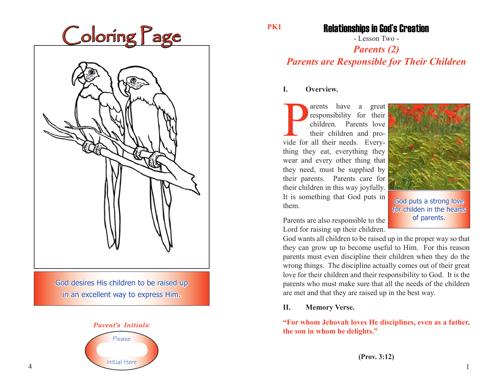| Coloring Page |
|---------------|
|               |

God desires His children to be raised up in an excellent way to express Him.



**PK1**

### Relationships in God's Creation

- Lesson Two -

## *Parents (2) Parents are Responsible for Their Children*

#### **I. Overview.**

The area of their children and provide for all their needs. Everyarents have a great responsibility for their children. Parents love their children and prothing they eat, everything they wear and every other thing that they need, must be supplied by their parents. Parents care for their children in this way joyfully. It is something that God puts in them.



God puts a strong love for childen in the hearts of parents.

Parents are also responsible to the Lord for raising up their children.

God wants all children to be raised up in the proper way so that they can grow up to become useful to Him. For this reason parents must even discipline their children when they do the wrong things. The discipline actually comes out of their great love for their children and their responsibility to God. It is the parents who must make sure that all the needs of the children are met and that they are raised up in the best way.

#### **II. Memory Verse.**

**"For whom Jehovah loves He disciplines, even as a father, the son in whom he delights."**

**(Prov. 3:12)**